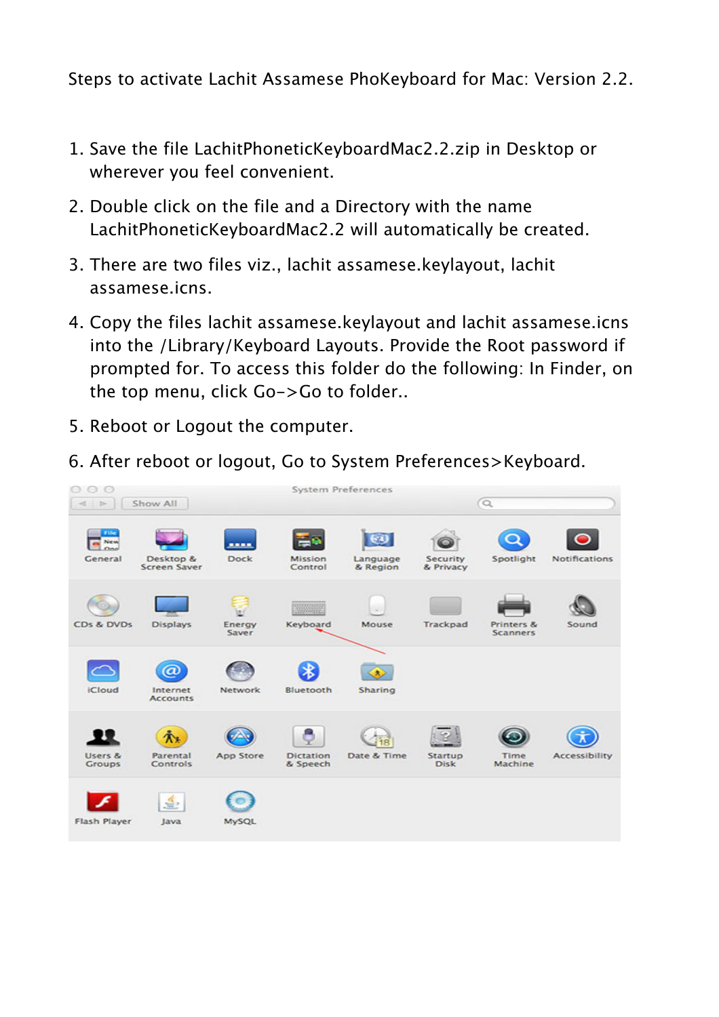Steps to activate Lachit Assamese PhoKeyboard for Mac: Version 2.2.

- 1. Save the file LachitPhoneticKeyboardMac2.2.zip in Desktop or wherever you feel convenient.
- 2. Double click on the file and a Directory with the name LachitPhoneticKeyboardMac2.2 will automatically be created.
- 3. There are two files viz., lachit assamese.keylayout, lachit assamese.icns.
- 4. Copy the files lachit assamese.keylayout and lachit assamese.icns into the /Library/Keyboard Layouts. Provide the Root password if prompted for. To access this folder do the following: In Finder, on the top menu, click Go->Go to folder..
- 5. Reboot or Logout the computer.
- 6. After reboot or logout, Go to System Preferences>Keyboard.

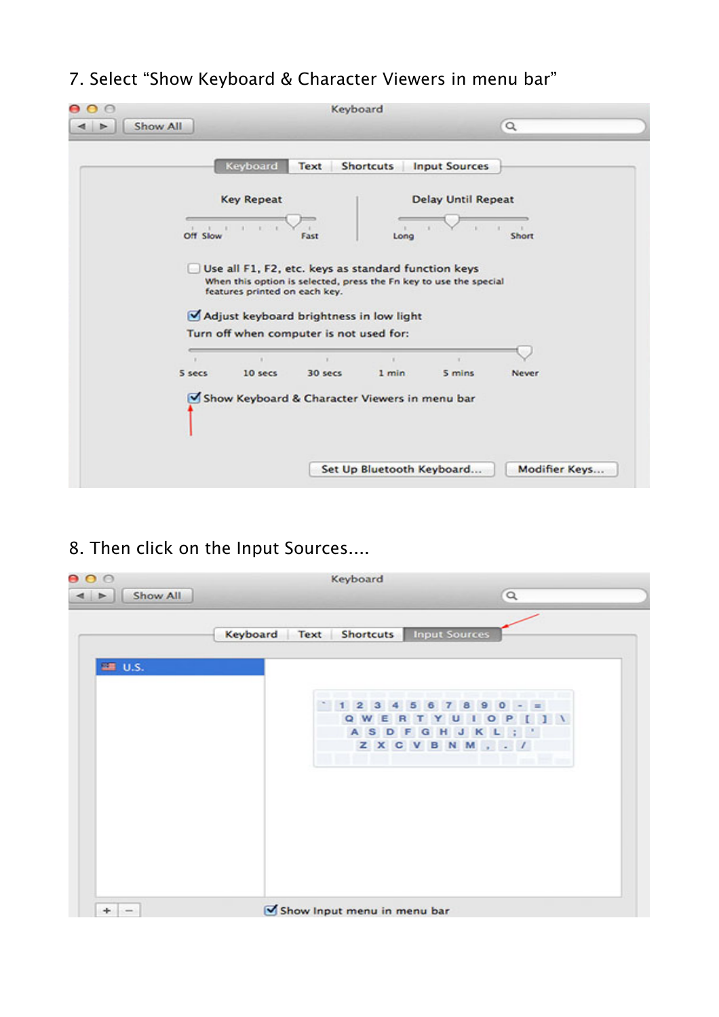## 7. Select "Show Keyboard & Character Viewers in menu bar"

|                     |                                                                                                                                                                                                      | Keyboard      |                           |                           |               |
|---------------------|------------------------------------------------------------------------------------------------------------------------------------------------------------------------------------------------------|---------------|---------------------------|---------------------------|---------------|
| Show All<br>►       |                                                                                                                                                                                                      |               |                           |                           | $\alpha$      |
|                     | Keyboard                                                                                                                                                                                             | Text          | <b>Shortcuts</b>          | <b>Input Sources</b>      |               |
|                     | <b>Key Repeat</b>                                                                                                                                                                                    |               |                           | <b>Delay Until Repeat</b> |               |
| $1 - 1$<br>Off Slow | $\mathbf{r}$                                                                                                                                                                                         | Fast          | Long                      |                           | Short         |
|                     | Use all F1, F2, etc. keys as standard function keys<br>When this option is selected, press the Fn key to use the special<br>features printed on each key.<br>Adjust keyboard brightness in low light |               |                           |                           |               |
|                     | Turn off when computer is not used for:                                                                                                                                                              |               |                           |                           |               |
| ×<br>5 secs         | 10 secs                                                                                                                                                                                              | х.<br>30 secs | 1 min                     | S mins                    | Never         |
|                     | Show Keyboard & Character Viewers in menu bar                                                                                                                                                        |               |                           |                           |               |
|                     |                                                                                                                                                                                                      |               | Set Up Bluetooth Keyboard |                           | Modifier Keys |

8. Then click on the Input Sources....

| 000                       | Keyboard                                        |  |  |
|---------------------------|-------------------------------------------------|--|--|
| Show All<br>$\leq$ $\geq$ | $\alpha$                                        |  |  |
|                           |                                                 |  |  |
|                           | <b>Input Sources</b><br>Keyboard Text Shortcuts |  |  |
|                           |                                                 |  |  |
| <b>■ U.S.</b>             |                                                 |  |  |
|                           |                                                 |  |  |
|                           | 酉<br>o                                          |  |  |
|                           | $\circ$<br>Е<br>ASDF<br>G H                     |  |  |
|                           | J<br>к<br>ZXCVBNM, . /                          |  |  |
|                           |                                                 |  |  |
|                           |                                                 |  |  |
|                           |                                                 |  |  |
|                           |                                                 |  |  |
|                           |                                                 |  |  |
|                           |                                                 |  |  |
|                           |                                                 |  |  |
|                           |                                                 |  |  |
|                           |                                                 |  |  |
|                           |                                                 |  |  |
| $+$ $-$                   | Show Input menu in menu bar                     |  |  |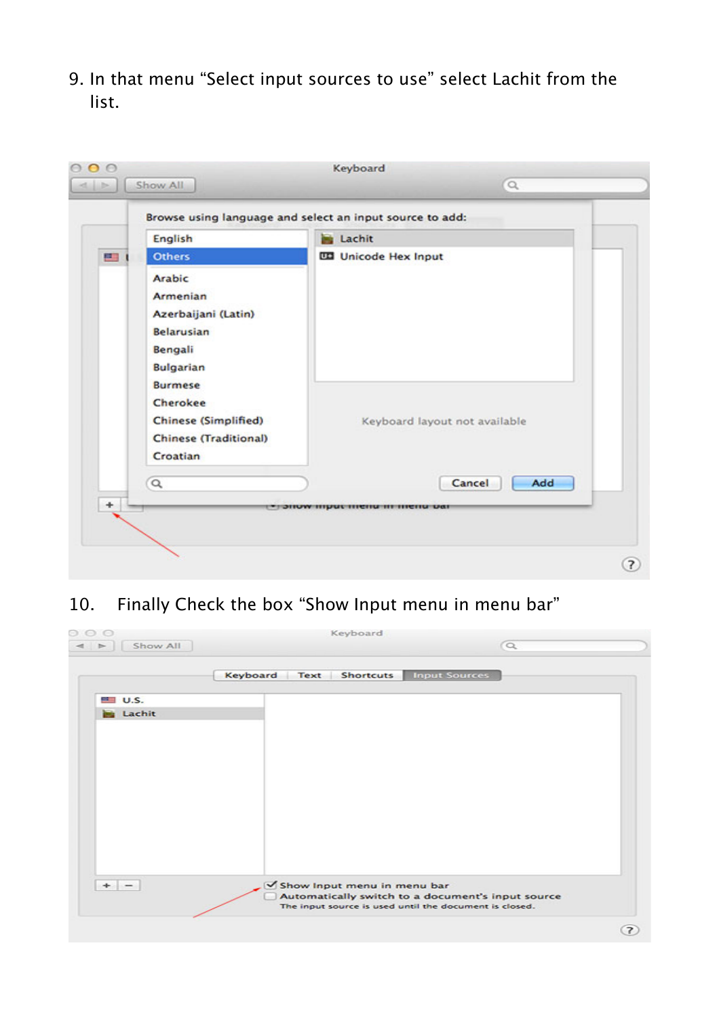9. In that menu "Select input sources to use" select Lachit from the list.



## 10. Finally Check the box "Show Input menu in menu bar"

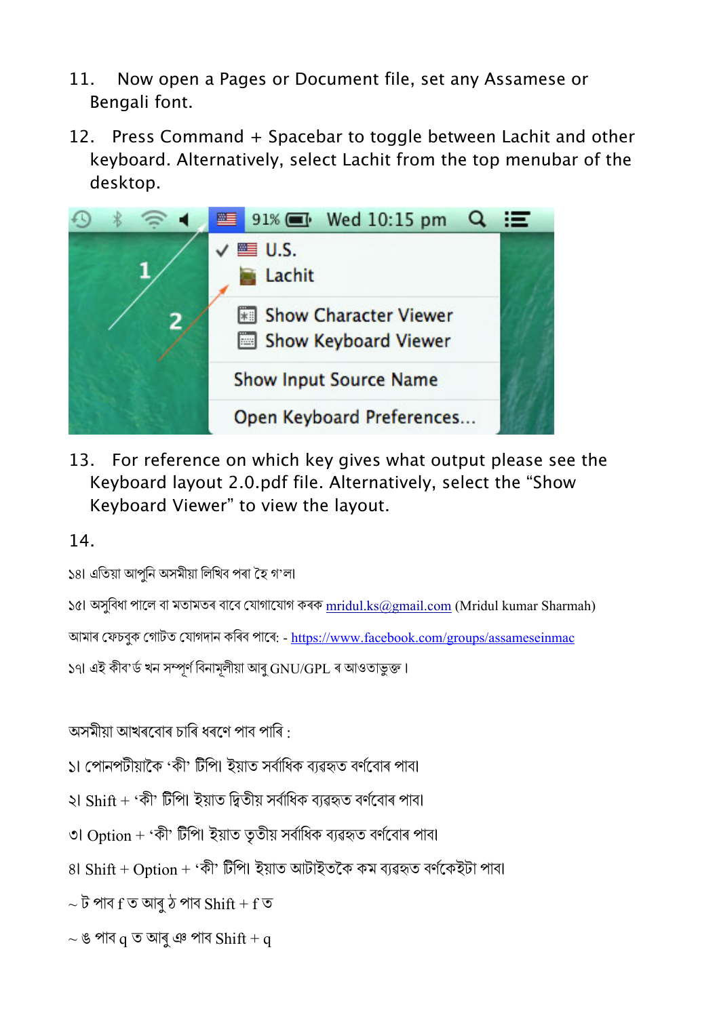- 11. Now open a Pages or Document file, set any Assamese or Bengali font.
- 12. Press Command + Spacebar to toggle between Lachit and other keyboard. Alternatively, select Lachit from the top menubar of the desktop.



13. For reference on which key gives what output please see the Keyboard layout 2.0.pdf file. Alternatively, select the "Show Keyboard Viewer" to view the layout.

14.

১৪৷ এতিয়া আপুনি অসমীয়া লিখিব পৰা হৈ গ'ল৷

১৫৷ অসুবিধা পালে বা মতামতৰ বাবে যোগাযোগ কৰক  $m$ ridul.ks@gmail.com (Mridul kumar Sharmah)

আমাৰ ফেচবুক গােটত যােগদান কৰিব পাৰে: - https://www.facebook.com/groups/assameseinmac

১৭৷ এই কীব'ৰ্ড খন সম্পূৰ্ণ বিনামূলীয়া আৰু GNU/GPL ৰ আওতাভুক্ত।

অসমীয়া আখৰবোৰ চাৰি ধৰণে পাব পাৰি  $\cdot$ 

১৷ পোনপটীয়াকৈ 'কী' টিপি৷ ইয়াত সৰ্বাধিক ব্যৱহৃত বৰ্ণবোৰ পাব৷

- $\mathcal{L}$  Shift + 'কী' টিপি৷ ইয়াত দ্বিতীয় সৰ্বাধিক ব্যৱহৃত বৰ্ণবোৰ পাব৷
- ৩৷ Option + 'কী' টিপি৷ ইয়াত তৃতীয় সৰ্বাধিক ব্যৱহৃত বৰ্ণবোৰ পাব৷
- $81$  Shift + Option + 'কী' টিপি৷ ইয়াত আটাইতকৈ কম ব্যৱহৃত বৰ্ণকেইটা পাব৷

 $\sim$  ট পাব  ${\rm f}\,\bar\bullet$  আৰু ঠ পাব  ${\rm Shift}+{\rm f}\,\bar\bullet$ 

 $\sim$  ঙ পাব  $q \nabla \nabla q$  ঞ পাব  $Shift + q$